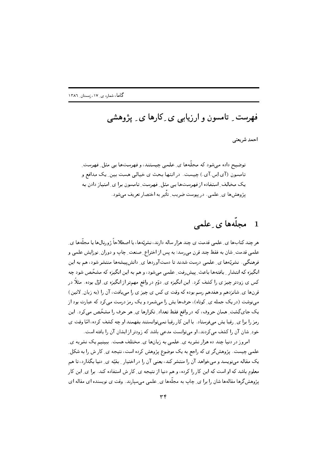فهرست ِ تامسون و ارزیابی ی ِ کارها ی ِ پژوهشی

احمد شريعتي

توضیح داده می شود که مجلَّهها ی ِ علمی چیستند، و فهرستها یی مثل ِ فهرست ِ تامسون (آی اِس آی ) چیست. در انتها بحث ی خیالی هست بین ِ یک مدافع و یک مخالف ِ استفاده از فهرستها یی مثل ِ فهرست ِ تامسون برا ی ِ امتیاز دادن به يژوهش ها ي علمي . در پيوست ضريب ِ تأثير به اختصار تعريف مي شود .

## مجلههای علمی  $\blacksquare$

هر چند کتابها ی ِ علمی قدمت ی چند هزار ساله دارند، نشریّهها، یا اصطلاحاً ژورنالها یا مجلّهها ی ِ علمي قدمت ِ شان به فقط چند قرن مي رسد؛ به پس از اختراع ِ صنعت ِ چاپ و دوران ِ نو زايش علمي و فرهنگی . نشریّهها ی ِ علمی درست شدند تا دستآوردها ی ِ دانشپیشهها منتشر شود، هم به این انگیزه که انتشار ِ یافتهها باعث ِ پیشرِفت ِ علمی میشود، و هم به این انگیزه که مشخّص شود چه کس ی زودتر چیز ی را کشف کرد. این انگیزه ی ِ دوّم در واقع مهمتر از انگیزه ی ِ اوّل بوده. مثلاً در قرنها ي ِشانزدهم و هفدهم رسم بوده كه وقت ي كس ي چيز ي را مي يافت، آن را (به زبان ِ لاتين) مینوشت (در یک جمله ی ِ کوتاه)، حرفها پش را میشمرد و یک رمز درست می کرد که عبارت بود از یک جای گشت ِ همان حروف، که در واقع فقط تعداد ِ تکرارها ی ِ هر حرف را مشخّص می کرد. این رمز را برا ی ِ رقبا پش میفرستاد . با این کار رقبا نمی توانستند بفهمند او چه کشف کرده، امّا وقت ی خود ِ شان آن را کشف می کردند، او می توانست مدعی باشد که زودتر از ایشان آن را یافته است.

امروز در دنیا چند ده هزار نشریه ی ِ علمی به زبانها ی ِ مختلف هست. ببینیم یک نشریه ی علمی چیست. پژوهشگر ی که راجع به یک موضوع پژوهش کرده است، نتیجه ی ِ کار ش را به شکل ِ یک مقاله می،نویسد و می خواهد آن را منتشر کند، یعنی آن را در اختیار ِ بِقیّه ی ِ دنیا بِگذارد، تا هم معلوم باشد که او است که این کار را کرده، و هم دنیا از نتیجه ی ِ کار ش استفاده کند. برا ی ِ این کار یژوهشگرها مقالهها شان را برا ی ِ چاپ به مجلّهها ی ِ علمی میسپارند. وقت ی نویسنده ای مقاله ای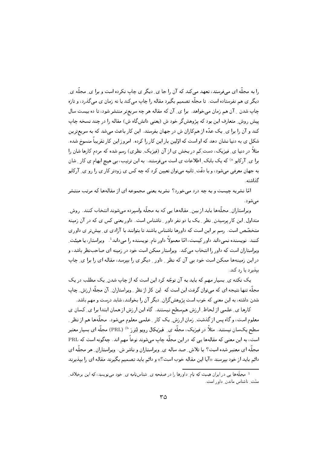را به مجلّه ای مے،فرستد، تعهد مے کند که آن را جا ی ِ دیگر ی چاپ نکرده است و برا ی ِ مجلّه ی ِ دیگر ی هم نفرستاده است. تا مجلّه تصمیم بگیرد مقاله را چاپ میکند یا نه زمان ی میگذرد، و تازه چاپ شدن \_ آن هم زمان می خواهد. برا ی\_ آن که مقاله هر چه سریعتر منتشر شود، تا ده بیست سال ییش روش ِ متعارف این بود که پژوهشگر خود ش (یعنی دانشگاه ش) مقاله را در چند نسخه چاپ کند و آن را برا ی ِ یک عدّه از همکاران ش در جهان بفرستد. این کار باعث میشد که به سریعترین شکل ی به دنیا نشان دهد که او است که اوّلین بار این کار را کرده. امروز این کار تقریباً منسوخ شده. مثلاً در دنیا ی ِ فیزیک، دست ِکم در بخش ی از آن (فیزیک ِ نظری) رسم شده که مردم کارها شان را برا ی ِ آرکایو <sup>۵)</sup> که یک بانک ِ اطلاعات ی است میفرستند. به این ترتیب، بی هیچ ابهام ی کار ِ شان به جهان معرفی میشود، و با دقّت ِ ثانیه میتوان تعیین کرد که چه کس ی زودتر کار ی را رو ی ِ آرکایو گذاشته.

امّا نشریه چیست و به چه درد می خورد؟ نشریه یعنی مجموعه ای از مقالهها که مرتب منتشر می شود .

ویراستاران ِ مجلَّهها باید از بین ِ مقالهها یی که به مجلَّه واسیرده میشوند انتخاب کنند. روش ِ متداول این کار پرسیدن ِ نظر ِ یک یا دو نفر داور ِ ناشناس است. داور یعنی کس ی که در آن زمینه متخصّص است. رسم بر این است که داورها ناشناس باشند تا بتوانند با آزادی ی ِ بیشتر ی داوری کنند. نویسنده نمبیداند داور کیست، امّا معمولاً داور نام ِنویسنده را میداند±. ویراستار، یا هیئت ِ .<br>ویراستاران است که داور را انتخاب میکند. ویراستار ممکن است خود در زمینه ای صاحب:نظر باشد، و در این زمینهها ممکن است خود بی آن که نظر ِ داور ِ دیگر ی را بیرسد، مقاله ای را برا ی ِ چاپ بيڏيرڊ يا رد کنڊ.

یک نکته ی ِ بسیار مهم که باید به آن توجّه کرد این است که از چاپ شدن ِ یک مطلب در یک مجلَّه تنها نتیجه ای که میٍتوان گرفت این است که این کار از نظر ِ ویراستاران ِ آن مجلَّه ارزش ِ چاپ شدن داشته، به این معنی که خوب است پژوهشگران ِ دیگر آن را بخوانند، شاید درست و مهم باشد.

کارها ی ِ علمی از لحاظ ِ ارزش همسطح نیستند. گاه این ارزش از همان ابتدا برا ی ِ کسان ی معلوم است، و گاه پس از گذشت ِ زمان ار زش ِ یک کار ِ علمی معلوم می شود . مجلَّهها هم از نظر ِ ِ سطح یکسان نیستند. مثلاً در فیزیک، مجلّه ی ِ ِ فیزیکال رویو لِتِرز <sup>b)</sup> (PRL) مجلّه ای بسیار معتبر است، به این معنی که مقالهها یی که در این مجلّه چاپ می،شوند نوعاً مهم اند. چه گونه است که PRL مجلَّه ای معتبر شده است؟ با تلاش ِ صد ساله ی ِ ویراستاران و ناشر ش. ویراستاران ِ هر مجلَّه ای دائم باید از خود بپرسند «آیا این مقاله خوب است؟» و دائم باید تصمیم بگیرند مقاله ای را بپذیرند

<sup>۔&</sup>lt;br><sup>1</sup>۔ مجلَّهھا پی در ایران هست که نام ِ داورها را در صفحه ی ِ شناسِنامه ی ِ خود می ِنویسد، که این برخلاف ِ ستت ِ ناشناس ماندن ِ داور است.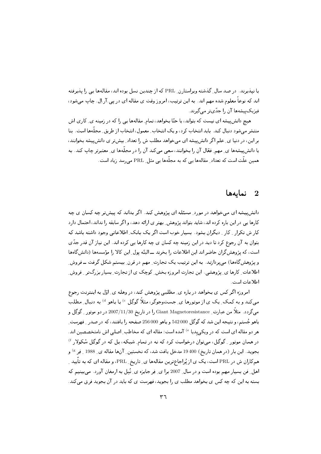یا نیذیرند. در صد سال ِ گذشته ویراستارن ِ PRL که از چندین نسل بوده اند، مقالهها یی را پذیرفته اند که نوعاً معلوم شده مهم اند. به این ترتیب، امروز وقت ی مقاله ای در یی .آر.اِل. چاپ می شود، فیزیک پیشهها آن را جدّیتر می گیرند.

هیچ دانشپیشه ای نیست که بتواند، یا حتّا بخواهد، تمام ِ مقالهها یی را که در زمینه ی ِ کاری اش منتشر میشود دنبال کند. باید انتخاب کرد، و یک انتخاب ِ معمول، انتخاب از طریق ِ مجلَّدها است. بنا بر این، در دنیا ی ِ علم اگر دانش پیشه ای میخواهد مطلب ش را تعداد ِ بیشتر ی دانش پیشه بخوانند، یا دانش پیشهها ی ِ مهم ِ فعّال آن را بخوانند، سعی می کند آن را در مجلّهها ی ِ معتبرتر چاپ کند. به همین علّت است که تعداد\_ مقالهها پی که به مجلّهها پی مثل\_ PRL می،رسد زیاد است.

## نمايەھا  $\,$

دانش پیشه ای می خواهد در مورد ِ مسئله ای پژوهش کند. اگر بداند که پیش تر چه کسان ی چه کارها یی در این باره کرده اند، شاید بتواند پژوهش بهتر ی ارائه دهد، و اگر سابقه را نداند، احتمال دارد کار ش تکرار ِ کار ِ دیگران بشود. بسیار خوب است اگر یک بانک ِ اطلاعاتی وجود داشته باشد که بتوان به آن رجوع کرد تا دید در این زمینه چه کسان ی چه کارها یی کرده اند. این نیاز آن قدر جدّی است، که پژوهش گران حاضر اند این اطلاعات را بخرند ــ البتّه پول ِ این کالا را مؤسسهها (دانش گاهها و پژوهش گاهها) می پردازند. به این ترتیب یک تجارت ِ مهم در قرن ِ بیستم شکل گرفت ــ فروش ِ اطلاعات ِ کارها ی ِ پژوهشی . این تجارت امروزه بخش ِ کوچک ی از تجارت ِ بسیار بزرگتر ِ فروش ِ اطلاعات است.

امروزه اگر کس ی بخواهد در باره ی ِ مطلبی پژوهش کند، در وهله ی ِ اوّل به اینترنت رجوع میکند و به کمک ِ یک ی از موتورها ی ِ جستوجوگر، مثلاً گوگِل <sup>c)</sup> یا یاهو <sup>d</sup> به دنبال ِ مطلب مي گردد . مثلاً من عبارت ِ Giant Magnetoresistance را در تاريخ 2007/11/30 در دو موتور \_ گوگِل و ياهو جُستم، و نتيجه اين شد كه گوگل 000 542 و ياهو 000 256 صفحه را يافتند، كه در صدر \_ فهرست\_ هر دو مقاله ای است که در ویکی ٍیدیا <sup>e)</sup> آمده است؛ مقاله ای که مخاطب ِ اصلی اش نامتخصصین اند. در همان موتور <sub>-</sub> گوگل، می توان درخواست کرد که نه در تمام ِ شبکه، بل که در گوگِل سُکولار <sup>f )</sup> بجوید. این بار (در همان تاریخ) 400 19 مدخل یافت شد، که نخستین ِ آنها مقاله ی ِ 1988 ِ فِر <sup>&)</sup> و همکاران ش در PRL است، یک ی از پُراجاعترین مقالهها ی ِ تاریخ ِ PRL، و مقاله ای که به تأیید ِ اهل ِ فن بسیار مهم بوده است و در سال 2007 برا ی ِ فِر جایزه ی ِ نُبِل به ارمغان آورد. می بینیم که بسته به این که چه کس ی بخواهد مطلب ی را بجوید، فهرست ی که باید در آن بجوید فرق میکند.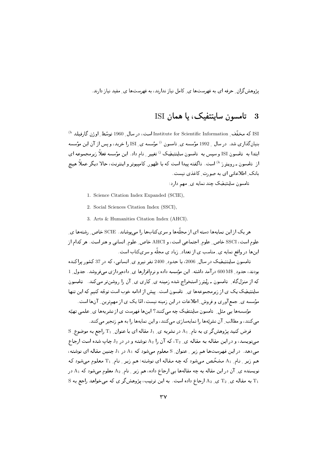بژوهش گران ِ جرفه ای به فهرستها ی ِ کامل نیاز ندارند، به فهرستها ی ِ مفید نیاز دارند.

#### تامسون ساینتفیک، یا همان ISI - 3

ISI كه مخفَّف ِ Institute for Scientific Information است، در سال ِ 1960 توسّط ِ اوژن گارفيلد <sup>h)</sup> بنیان گذاری شد. در سال <sub>-</sub> 1992 مؤسسه ی ِ تامسون <sup>i)</sup> مؤسسه ی ِ ISI را خرید، و پس از آن این مؤسسه ابتدا به تامسون ISI و سیس به تامسون ساینتیفیک <sup>i)</sup> تغییر ِ نام داد. این مؤسسه فعلاً زیرمجموعه ای از تامسون ـ روپیترز <sup>L )</sup> است. ناگفته پیدا است که با ظهور ِکامپیوتر و اینترنت، حالا دیگر عملاً هی<del>ت</del>یم بانک ِ اطلاعاتی ای به صورت ِ کاغذی نیست.

تامسون ساینتیفیک چند نمایه ی ِ مهم دارد:

1. Science Citation Index Expanded (SCIE),

2. Social Sciences Citation Index (SSCI),

3. Arts & Humanities Citation Index (AHCI).

هر یک از این نمایهها دسته ای از مجلّهها و سریکتابها را می پوشاند. SCIE خاص ِ رشتهها ی ِ علوم است، SSCI خاص ِ علوم ِ اجتماعي است، و AHCI خاص ِ علوم ِ انساني و هنر است. هر كدام از اینها در واقع نمایه ی ِ مناسب ی از تعداد ِ زیاد ی مجلّه و سریکتاب است.

تامسون ساینتیمفیک در سال ِ 2006، با حدود ِ 2400 نفر نیرو ی ِ انسانبی، که در 37 کشور پراکنده بودند، حدود ِ 500 M\$ درآمد داشته. این مؤسسه داده و نرمافزارها ی ِ دادهپردازی میفروشد. جدول ِ 1 که از منزلگاه ِ تامسون ـ ریُتِرز استخراج شده زمینه ی ِ کاری ی ِ آن را روشنتر میکند. تامسون ساینتیفیک یک ی از زیرمجموعهها ی ِ تامسون است. پیش از ادامه خوب است توجّه کنیم که این تنها مؤسسه ی ِ جمع آوری و فروش ِ اطلاعات در این زمینه نیست، امّا یک ی از مهمترین ِ آنها است. مؤسسهها یبی مثل ِ تامسون ساینتفیک چه میکنند؟ اینها فهرست ی از نشریهها ی ِ علمی تهیّه

مى كند، و مطالب ِ آن نشريّهها را نمايهسازى مى كند، و اين نمايهها را به هم زنجير مى كند.

 $\,\mathrm{S}\,$  فرض کنید پژوهشگر ی به نام  $\,\mathrm{A}_1$  در نشریه ی ِ J1 مقاله ای با عنوان ِ T1 راجع به موضوع ِ مینویسد، و در این مقاله به مقاله ی ـ  $\rm T_2$ ، که آن را  $\rm A_2$  نوشته و در در  $\rm J_2$  چاپ شده است ارجاع می دهد. در این فهرستها هم زیر ـ عنوان ـ S معلوم میشود که  $\rm A_1$  در  $\rm J_1$  چنین مقاله ای نوشته، هم زیر ِ نام ِ A1 مشخّص میشود که چه مقاله ای نوشته؛ هم زیر ِ نام ِ T1 معلوم میشود که نویسنده ی ِ آن در این مقاله به چه مقالهها یی ارجاع داده، هم زیر ِ نام ِ A2 معلوم میشود که A1 در S به مقاله ی ـ T2 ی ـ A2 ارجاع داده است. به این ترتیب، پژوهشگر ی که میخواهد راجع به S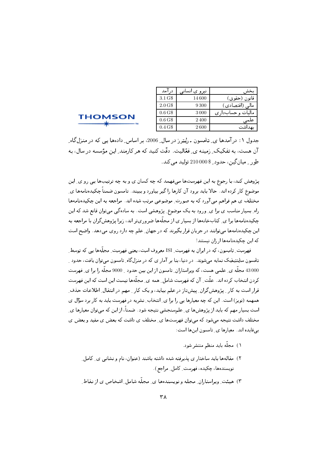| در آمد                | نیرو ی انسانبی | ىخش ،             |
|-----------------------|----------------|-------------------|
| 3.1 G\$               | 14 600         | قانون (حقوق)      |
| $2.0\,\mathrm{G}$     | 9300           | مالی (اقتصادی)    |
| 0.6 <sub>5</sub>      | 3 000          | ماليات و حسابداري |
| 0.6 <sub>G</sub>      | 2400           | علمى              |
| $0.4 \,\mathrm{G}$ \$ | 2600           | ىھداشت            |

**THOMSON** 

جدول ۱: درآمدها ی ِ تامسون ـ رُیتِر ز در سال ِ 2006، بر اساس ِ دادهها یی که در منزلگاه ِ آن هست، به تفکیک ِ زمینه ی ِ فعّالیت. دقّت کنید که هر کارمند ِ این مؤسسه در سال، به طور په ميان گين ، جدود په 210 000 توليد مے کند.

پژوهش کند، با رجوع به این فهرستها میفهمد که چه کسان ی و به چه ترتیبها پی رو ی ِ این موضوع کار کرده اند. حالا باید برود آن کارها را گیر بیاورد و ببیند. تامسون ضمناً چکیدهنامهها ی مختلف ی هم فراهم می آورد که به صورت ِ موضوعی مرتب شده اند. مراجعه به این چکیدهنامهها راه ِ بسیار مناسب ی برا ی ِ ورود به یک موضوع ِ پژوهشی است. به سادهگی میتوان قانع شد که این چکیدهنامهها برا ی ِ کتابخانهها از بسیار ی از مجلّهها ضروریتر اند، زیرا پژوهشگران با مراجعه به این چکیدهنامهها میتوانند در جریان قرار بگیرند که در جهان ِ علم چه دارد روی میدهد. واضح است که این چکیدهنامهها از زان نیستند!

فهرست ِ تامسون، که در ایران به فهرست ِ ISI معروف است، یعنی فهرست ِ مجلَّهها یی که توسط ِ تامسون ساینتیفیک نمایه می شوند. در دنیا، بنا بر آمار ی که در منزلگاه ِ تامسون می توان یافت، حدود ِ 43 000 مجلَّه ي ِ علمي هست، كه ويراستاران ِ تامسون از اين بين حدود ِ 9000 مجلَّه را برا ي ِ فهرست کردن انتخاب کرده اند. علّت ِ آن که فهرست شامل ِ همه ی ِ مجلّهها نیست این است که این فهرست قرار است به کار ِ پژوهش گران ِ پیشتاز در علم بیاید، و یک کار ِ مهم در انتقال ِ اطلاعات حذف ِ همهمه (نویز) است. این که چه معیارها یی را برا ی ِ انتخاب ِ نشریه در فهرست باید به کار برد سؤال ی است بسیار مهم که باید از پژوهشها ی ِ علمسنجشی نتیجه شود. ضمناً، از این که می توان معیارها ی ِ مختلف داشت نتیجه میشود که میتوان فهرستها ی ِ مختلف ی داشت که بعض ی مفید و بعض ی بى فايده اند. معيارها ي ِ تامسون اينها است:

- ١) مجلّه بايد منظم منتشر شود.
- ۲) مقالهها باید ساختار ی پذیرفته شده داشته باشند (عنوان، نام و نشانبی ی ِ کامل ِ نویسندهها، چکیده، فهرست ِ کامل ِ مراجع) .
- ۳) هیئت ِ ویراستاران ِ مجله و نویسندهها ی ِ مجلّه شامل ِ اشخاص ی از نقاط ِ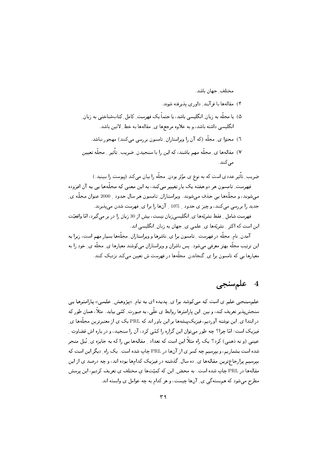مختلف حهان باشد.

- ۴) مقالهها با فر آیند ِ داوری پذیرفته شوند.
- ۵) یا مجلّه به زبان ِانگلیسی باشد، یا حتماً یک فهرست ِ کامل ِ کتابشناختی به زبان ِ انگلیسی داشته باشد، و به علاوه مرجعها ی ِ مقالهها به خط ِ لاتین باشد.
	- ٦) محتوا ی ِ مجلَّه (که آن را ویراستاران ِ تامسون بررسی میکنند) مهجور نباشد.
- ٧) مقالهها ي ِ مجلَّه مهم باشند، كه اين را با سنجيدن ِ ضريب ِ تأثير ﴿ مجلَّه تعيين مى كنند .

ضریب ِ تأثیر عددی است که به نوع ی مؤثر بودن ِ مجلَّه را بیان میکند (پیوست را ببینید.) فهرست ِ تامسون هر دو هفته یک بار تغییر می کند، به این معنی که مجلَّهها یی به آن افزوده مے،شوند، و مجلَّهها پی حذف مے،شوند. ویراستاران ِ تامسون هر سال حدود ۔ 2000 عنوان مجلَّه ی ِ جدید را بررسی میکنند، و چیز ی حدود \_ 10% \_ آنها را برا ی ِ فهرست شدن می پذیرند.

فهرست شامل ِ فقط نشريّهها ي ِ انگليسي زبان نيست، بيش از 30 زبان را در بر مي گيرد، امّا واقعيّت این است که اکثر ِ نشریّهها ی ِ علمی ی ِ جهان به زبان ِ انگلیسی اند.

آمدن ِ نام ِ مجلَّه در فهرست ِ تامسون برا ی ِ ناشرها و ویراستاران ِ مجلَّهها بسیار مهم است، زیرا به این ترتیب مجلّه بهتر معرفی میشود. پس ناشران و ویراستاران می کوشند معیارها ی ِ مجلّه ی ِ خود را به معیارها پے که تامسون برا ی ِ گنجاندن ِ مجلَّهها در فهرست ش تعیین می کند نزدیک کنند.

# 4 علم سنجى

علم سنجی علم ی است که می کوشد برا ی ِ یدیده ای به نام ِ «پژوهش ِ علمی» پارامترها یی سنجشپبذیر تعریف کند، و بین ِ این پارامترها روابط ی علّی، به صورت ِ کمّی بیابد. مثلاً، همان طور که در ابتدا ی ِ این نوشته آوردیم، فیزیکپیشهها بر این باور اند که PRL یک ی از معتبرترین مجلَّهها ی ِ فیزیک است؛ امّا چرا؟ چه طور میٍتوان این گزاره را کمّی کرد، آن را سنجید، و در باره اش قضاوت ِ عینی (و نه ذهنی) کرد؟ یک راه مثلاً این است که تعداد ِ مقالهها یی را که به جایزه ی ِ نُبل منجر شده است بشماریم، و بیرسیم چه کسر ی از آنها در PRL چاپ شده است. یک راه ِ دیگر این است که بپرسیم پرارجاعترین مقالهها ی ِ ده سال ِ گذشته در فیزیک کدامها بوده اند، و چه درصد ی از این مقالهها در PRL چاپ شده است. به محض ِ این که کمیّتها ی مختلف ی تعریف کردیم، این پرسش مطرح می شود که هم بسته گی ی ِ آنها چیست، و هر کدام به چه عوامل ی وابسته اند.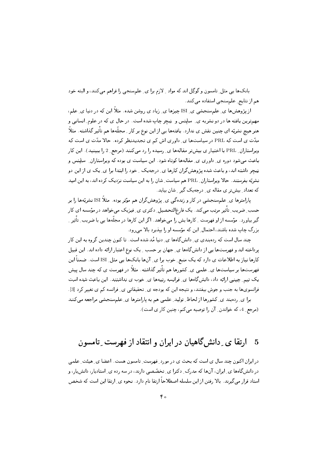بانکها یی مثل ِ تامسون و گوگِل اند که مواد ِ لازم برا ی ِ علمسنجی را فراهم میکنند، و البته خود هم از نتایج ِ علم سنجی استفاده می کنند.

از پژوهشها ی ِ علم سنجشی ی ِ ISI چیزها ی ِ زیاد ی روشن شده. مثلاً این که در دنیا ی ِ علم، مهمترین یافته ها در دو نشریه ی ِ ساینس و پیچر چاپ شده است. در حال ی که در علوم ِ انسانی و هنر هیچ نشریّه ای چنین نقش ی ندارد. یافتهها یی از این نوع بر کار ِ مجلّهها هم تأثیر گذاشته. مثلاً مدّت ی است که PRL در سیاستها ی ِ داوری اش کم ی تجدیدنظر کرده. حالا مدّت ی است که ویراستاران ِ PRL با اختیار ی بیش تر مقالهها ی ِ رسیده را رد می کنند (مرجع ِ 2 را ببینید). این کار پاعث می شود دوره ی ِ داوری ی ِ مقالهها کوتاه شود. این سیاست ی بوده که ویراستاران ِ ساینس و یپیچر داشته اند، و باعث شده پژوهش گران کارها ی ِ درجهیک ِ خود را ابتدا برا ی ِ یک ی از این دو نشریّه بفرستند. حالا ویراستاران ِ PRL هم سیاست ِ شان را به این سیاست نزدیک کرده اند، به این امید که تعداد ِ بیشتر ی مقاله ی ِ درجهیک گیر ِ شان بیاید.

یارامترها ی ِ علمسنجشی در کار و زندهگی ی ِ پژوهشگران هم مؤثر بوده. مثلاً ISI نشریّهها را بر حسب ِ ضریب ِ تأثیر مرتب میکند. یک فارغ|لتحصیل ِ دکتری ی ِ فیزیک میخواهد در مؤسسه ای کار گیر بیاورد . مؤسسه از او فهرست ِ کارها یش را میخواهد . اگر این کارها در مجلّهها یی با ضریب ِ تأثیر ِ بزرگ چاپ شده باشند، احتمال ِ این که مؤسسه او را بیذیرد بالا میرود.

چند سال است که ردهبندی ی ِ دانش&اهها ی ِ دنیا مُد شده است. تا کنون چندین گروه به این کار پرداخته اند و فهرستها یی از دانشگاهها ی ِ جهان بر حسب ِ یک نوع اعتبار ارائه داده اند. این قبیل کارها نیاز به اطلاعات ی دارد که یک منبع ِ خوب برا ی ِ آنها بانکها یی مثل ِ ISI است. ضمناً این فهرستها بر سیاستها ی ِ علمی ی ِ کشورها هم تأثیر گذاشته. مثلاً در فهرست ی که چند سال پیش یک تیم ِ چینی ارائه داد، دانشگاهها ی ِ فرانسه رتبهها ی ِ خوب ی نداشتند. این باعث شده است فرانسویها به جنب و جوش بیفتند، و نتیجه این که بودجه ی ِ تحقیقاتی ی ِ فرانسه کم ی تغییر کرد [3] . برا ی ِ ردهبند ی ِ کشورها از لحاظ ِ تولید ِ علمی هم به پارامترها ی ِ علمسنجشی مراجعه میکنند

(مرجع 4، كه خواندن ِ آن را توصيه مى كنم، چنين كار ى است).

### ارتقا ی ِ دانش گاهیان در ایران و انتقاد از فهرست ِ تامسون  $\mathbf{5}$

در ایران اکنون چند سال ی است که بحث ی در مورد ِ فهرست ِ تامسون هست. اعضا ی ِ هیئت ِ علمی در دانشگاهها ی ِ ایران، آنها که مدرک ِ دکترا ی ِ تخصّصی دارند، در سه رده ی ِ استادیار، دانشیار، و استاد قرار میگیرند. بالا رفتن از این سلسله اصطلاحاً ارتقا نام دارد. نحوه ی ِ ارتقا این است که شخص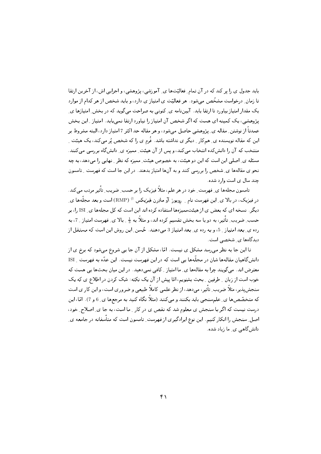باید جدول ی را پر کند که در آن تمام ِ فعالیّتها ی ِ آموزشی، پژوهشی، و اجرایی اش، از آخرین ارتقا تا زمان ِ درخواست مشخّص می شود. هر فعالیّت ی امتیاز ی دارد، و باید شخص از هر کدام از موارد یک مقدار امتیاز بیاورد تا ارتقا پابد. آییننامه ی ِ کنونی به صراحت می گوید که در بخش ِ امتیازها ی ِ پژوهشی، یک کمینه ای هست که اگر شخص آن امتیاز را نیاورد ارتقا نمیپابد. امتیاز ِ این بخش عمدتاً از نوشتن ِ مقاله ی ِ پژوهشی حاصل میشود، و هر مقاله حد اکثر 7 امتیاز دارد، البته مشروط بر این که مقاله نویسنده ی ِ همکار ِ دیگر ی نداشته باشد. فُرم ی را که شخص پُر میکند، یک هیئت ِ منتخب که آن را دانش کده انتخاب می کند، و پس از آن هیئت ِ ممیزه ی ِ دانش گاه بررسی می کنند. مسئله ی ِ اصلی این است که این دو هیئت، به خصوص هیئت ِ ممیزه که نظر ِ نهایی را می دهد، به چه نحو ی مقالهها ی ِ شخص را بررسی کنند و به آنها امتیاز بدهند. در این جا است که فهرست ِ تامسون جند سال ی است وارد شده.

تامسون مجلهها ی ِ فهرست ِ خود در هر علم، مثلاً فیزیک را بر حسب ِ ضریب ِ تأثیر مرتب می کند. در فیزیک، در بالا ی ِ این فهرست نام ِ ِ رویوز آو مادِرن فیزیکس <sup>1)</sup> (RMP) است و بعد مجلَّمها ی ِ دیگر . نسخه ای که بعض ی از هیئت ممیزهها استفاده کرده اند این است که کل مجلهها ی ISI را، بر حسب ِ ضریب ِ تأثیر، به دو یا سه بخش تقسیم کرده اند، و مثلاً به  $\frac{1}{2}$  ِ بالا ی ِ فهرست امتیاز \_ 7، به رده ی ِ بعد امتیاز که و به رده ی ِ بعد امتیاز 3 می دهند. خُسن ِ این روش این است که مستقل از دیدگاهها ی شخصی است.

تا این جا به نظر میرسد مشکل ی نیست. امّا، مشکل از آن جا یی شروع میشود که برخ ی از دانش گاهیان مقالهها شان در مجلّهها یی است که در این فهرست نیست. این عدّه به فهرست MSI معترض اند. می گویند چرا به مقالهها ی ِ ما امتیاز ِ کافی نمیدهید. در این میان بحثها یی هست که خوب است از زبان \_ طرفين \_ بحث بشنويم، امّا پيش از آن يک نکته: شک کردن در اطلاع ي که يک سنجش پذیر، مثلاً ضریب ِ تأثیر، میدهد، از نظر علمی کاملاً طبیعی و ضروری است، و این کار ی است که متخصّصها ی ِ علم سنجیی باید بکنند و میکنند (مثلاً نگاه کنید به مرجعها ی ِ 6 و 7). امّا، این درست نیست که اگر با سنجش ی معلوم شد که نقص ی در کار \_ ما است، به جا ی ِ اصلاح ِ خود، اصل ِ سنجش را انکار کنیم. این نوع ایرادگیری از فهرست ِ تامسون است که متأسفانه در جامعه ی ِ دانش گاهی ی ِ ما زیاد شده.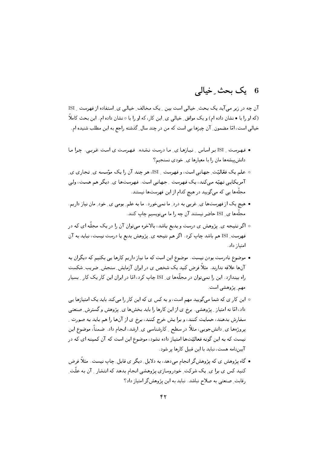#### یک بجٹ خیالے 6

آن چه در زیر می آید یک بحث ِ خیالی است بین ِ یک مخالف ِ خیالی ی ِ استفاده از فهرست ِ ISI (که او را با • نشان داده ام) و یک موافق ِ خیالی ی ِ این کار، که او را با ٥ نشان داده ام. این بحث کاملاً خیالی است، امّا مضمون ِ آن چیزها یی است که من در چند سال ِ گذشته راجع به این مطلب شنیده ام.

- فهرست \_ ISI بر اساس \_ نيازها ي\_ ما درست نشده. فهرست ي است غربي. چرا ما دانش پیشهها مان را با معیارها ی ِ خودی نسنجیم؟
- ۰ علم یک فعّالیّت ِ جهانبی است، و فهرست ِ ISI، هر چند آن را یک مؤسسه ی ِ تجاری ی آمریکایی تهیّه میکند، یک فهرست ِ جهانی است. فهرستها ی ِ دیگر هم هست، ولی مجلَّهها یی که میگویید در هیچ کدام از این فهرستها نیستند.
- هیچ یک از فهرستها ی ِ غربی به درد ِ ما نمیخورد . ما به علم ِ بومی ی ِ خود ِ مان نیاز داریم ِ مجلَّهها ی ِ ISI حاضر نیستند آن چه را ما میٍنویسیم چاپ کنند.
- ٥ اگر نتیجه ي ِ پژوهش ي درست و بديع باشد، بالاخره ميتوان آن را در يک مجلَّه اي که در فهرست ISI هم باشد چاپ كرد . اگر هم نتيجه ي ِ پژوهش بديع يا درست نيست، نبايد به آن امتىا; داد.
- موضوع نادرست بودن نیست. موضوع این است که ما نیاز داریم کارها یی بکنیم که دیگران به آنها علاقه ندارند. مثلاً فرض کنید یک شخص ی در ایران آزمایش ِ سنجش ِ ضریب ِ شکست راه بیندازد . این را نمی توان در مجلَّهها ی ِ ISI چاپ کرد، امّا در ایران این کار یک کار ِ بسیار مهم يژوهشي است.
- ه این کار ی که شما میگویید مهم است، و به کس ی که این کار را میکند باید یک امتیازها یی داد، امّا نه امتیاز ـِ پژوهشی . برخ ی از این کارها را باید بخشها ی ِ پژوهش و گسترش ِ صنعتی سفارش بدهند، حمایت کنند، و برا یش خرج کنند، برخ ی از آنها را هم باید به صورت ِ پروژهها ي ِ دانشجويي، مثلاً در سطح ِ کارشناسي ي ِ ارشد، انجام داد. ضمناً، موضوع اين نیست که به این گونه فعالیّتها امتیاز داده نشود، موضوع این است که آن کمینه ای که در آییننامه هست، نباید با این قبیل کارها پر شود.
- گاه پژوهش ي كه پژوهشگر انجام مىدهد، به دلايل ِ ديگر ي قابل ِ چاپ نيست. مثلاً فرض کنید کس ی برا ی ِ یک شرکت ِ خودروسازی پژوهشی انجام بدهد که انتشار ِ آن به علّت ِ رقابت ِ صنعتی به صلاح نباشد. نباید به این پژوهشگر امتیاز داد؟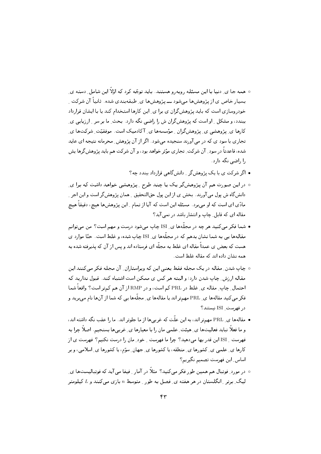- ه همه جا ی ِ دنیا با این مسئله روبهرو هستند. باید توجّه کرد که اوّلاً این شامل ِ دسته ی بسیار خاص ی از پژوهشها میشود ـــ پژوهشها ی ِ طبقهبندی شده . ثانیاً آن شرکت ِ خودروسازی است که باید پژوهشگران ی برا ی ِ این کارها استخدام کند یا با ایشان قرارداد بیندد، و مشکل ِ او است که پژوهش گران ش را راضی نگه دارد. بحث ِ ما بر سر ِ ارزیابی یِ کارها ی ِ پژوهشی ی ِ پژوهشگران ِ مؤسسهها ی ِ آکادمیک است. موفقیّت ِ شرکتها ی ِ تجاری با سود ی که در می آورند سنجیده میشود. اگر از آن پژوهش ِ محرمانه نتیجه ای عاید شده، قاعدتاً در سود ِ آن شرکت ِ تجاری مؤثر خواهد بود، و آن شرکت هم باید پژوهش گرها پش را راضی نگه دارد.
	- اگر شرکت ی با یک پژوهش گر دانش گاهی قرارداد ببندد چه؟
- ۰ در این صورت هم آن پژوهشگر یک یا چند طرح <sub>-</sub> پژوهشی خواهد داشت که برا ی دانشگاه ش پول می آورند. بخش ی از این پول حقالتحقیق ِ همان پژوهشگر است و این اجر ِ مادّي اي است كه او مي برد. مسئله اين است كه آيا از تمام ِ اين پژوهشها هيچ، دقيقاً هيچ مقاله ای که قابل ِ چاپ و انتشار باشد در نمی آید؟
- شما فکر می کنید هر چه در مجلَّهها ی ِ ISI چاپ میشود درست و مهم است؟ من میتوانم مقالهها یبی به شما نشان بدهم که در مجلَّهها ی ISI چاپ شده، و غلط است. حتّا موارد ی هست که بعض ی عمداً مقاله ای غلط به مجلّه ای فرستاده اند و پس از آن که پذیرفته شده به همه نشان داده اند که مقاله غلط است.
- ۰ چاپ شدن ِ مقاله در یک مجله فقط یعنی این که ویراستاران ِ آن مجله فکر می کنند این مقاله ارزش ِ چاپ شدن دارد؛ و البته هر کس ی ممکن است اشتباه کند. قبول ندارید که احتمال ِ چاپ ِ مقاله ي ِ غلط در PRL كم است، و در RMP از آن هم كمتر است؟ واقعاً شما فکر می کنید مقالهها ی ِ PRL مهمتر اند یا مقالهها ی ِ مجلّهها یی که شما از آنها نام می برید و د, فهرست ISI نىستند؟
- مقالهها ی ِ PRL مهمتر اند، به این علّت که غربیها از ما جلوتر اند. ما را عقب نگه داشته اند، و ما فعلاً نباید فعالیتها ی ِ هیئت ِ علمی مان را با معیارها ی ِ غربیها بسنجیم. اصلاً چرا به .<br>فهرست \_ ISI این قدر بها می دهید؟ چرا ما فهرست \_ خود\_ مان را درست نکنیم؟ فهرست ی از کارها ی ِ علمی ی ِ کشورها ی ِ منطقه، یا کشورها ی ِ جهان ِ سوّم، یا کشورها ی ِ اسلامی، و بر اساس ِ این فهرست تصمیم نگیریم؟
- در مورد ِ فوتبال هم همین طور فکر میکنید؟ مثلاً در آمار ِ فیفا می آید که فوتبالیستها ی ِ لیگ ِ برتر ِ انگلستان در هر هفته ی ِ فصل به طور ِ متوسط n بازی میکنند و L کیلومتر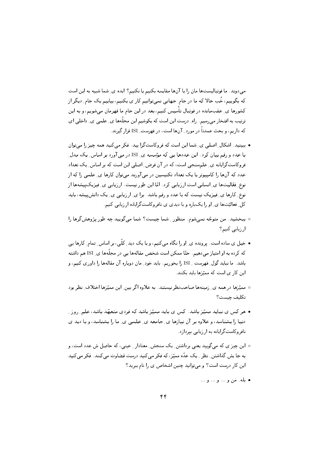می دوند. ما فوتبالیستها مان را با آنها مقایسه بکنیم یا نکنیم؟ ایده ی ِ شما شبیه به این است که بگوییم، خُب حالا که ما در جام ِ جهانی نمیٍتوانیم کار ی بکنیم، بیاییم یک جام ِ دیگر از کشورها ی ِ عقبِمانده در فوتبال تأسیس کنیم، بعد در این جام ما قهرمان میشویم، و به این ترتیب به افتخار می رسیم. راه ِ درست این است که بکوشیم این مجلَّهها ی ِ علمی ی ِ داخلی ای که داریم، و بحث عمدتاً در مورد ِ آنها است، در فهرست ِ ISI قرار گیرند.

- ببینید. اشکال ِ اصلی ی ِ شما این است که فروکاستگرا پید. فکر میکنید همه چیز را میتوان با عدد و رقم بیان کرد. این عددها یبی که مؤسسه ی ISI در مبی آورد بر اساس یک مدل فروکاستگرایانه ی ِ علم سنجی است، که در آن فرض ِ اصلی این است که بر اساس ِ یک تعداد عدد که آنها را کامپیوتر یا یک تعداد تکنیسین در می آورند می توان کارها ی ِ علمی را که از نوع ِ فعّالیتها ی ِ انسانی است ارزیابی کرد. امّا این طور نیست. ارزیابی ی ِ فیزیکپیشهها از نوع ِ کارها ی ِ فیزیک نیست که با عدد و رقم باشد. برا ی ِ ارزیابی ی ِ یک دانش پیشه، باید کل ِ فعالیّتها ی ِ او را یکباره و با دیدی ی نافروکاستگرایانه ارزیابی کنیم.
- ٥ ببخشيد. من متوجّه نميشوم. منظور ِ شما چيست؟ شما ميگوييد چه طور پژوهشگرها را ارزيابي كنيم؟
- خیل ی ساده است. پرونده ی ِ او را نگاه میکنیم، و با یک دید ِ کلّی، بر اساس ِ تمام ِ کارها یی که کرده به او امتیاز میدهیم. حتّا ممکن است شخص مقالهها یی در مجلّهها ی ِ ISI هم داشته باشد. ما نباید گول ِ فهرست ِ ISI را بخوریم. باید خود ِ مان دوباره آن مقالهها را داوری کنیم، و این کار ی است که ممیّزها باید بکنند.
- مميّزها در همه ي ِ زمينهها صاحبٍنظر نيستند. به علاوه اگر بين ِ اين مميّزها اختلاف ِ نظر بود تكليف چيست؟
- هر کس ی نباید ممیّز باشد. کس ی باید ممیّز باشد که فردی متعهّد باشد، علم ِ روز ِ دنیا را بشناسد، و علاوه بر آن نیازها ی ِ جامعه ی ِ علمی ی ِ ما را بشناسد، و با دید ی نافروکاستگرایانه به ارزیابی بیردازد.
- ه این چیز ی که می¢ویید یعنی برداشتن ِ یک سنجش ِ معنادار ِ عینی، که حاصل ش عدد است، و به جا پش گذاشتن ِ نظر ِ ِ یک عدّه ممیّز، که فکر میکنید درست قضاوت میکنند. فکر میکنید این کار درست است؟ و می توانید چنین اشخاص ی را نام ببرید؟
	- بله. من و ... و ... و ...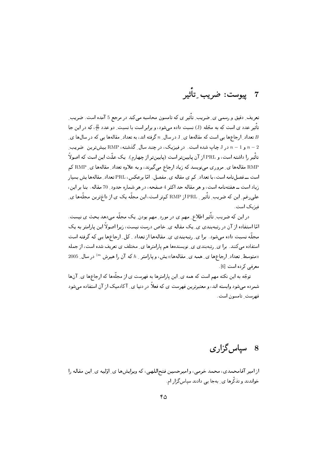7 ييوست: ضريب ِتأثير

تعریف ِ دقیق و رسمی ی ِ ضریب ِ تأثیر ی که تامسون محاسبه میکند در مرجع 5 آمده است. ضریب ِ تأثیر عدد ی است که به مجّله (J) نسبت داده می شود، و برابر است با نسبت ِ دو عدد <del>B</del>، که در این جا ی تعداد ِ ارجاعها یی است که مقالهها ی ِ J در سال ِ  $n$  گرفته اند، به تعداد ِ مقالهها یی که در سالها ی ِ  $B$ و 1 $1 - n - 1$  و لاست. در فیزیک، در چند سال ِ گذشته، RMP بیش ترین صریب  $n-2$ تأثیر را داشته است، و PRL از آن پایینتر است (پایینتر از چهارم). یک علّت این است که اصولاً RMP مقالهها ي ِ مروري ميiويسد كه زياد ارجاع مي&يرند، و به علاوه تعداد ِ مقالهها ي ِ RMP كم است ــ فصل نامه است، با تعداد ِ کم ی مقاله ی ِ مفصل . امّا برعکس، PRL تعداد ِ مقالهها یش بسیار زیاد است ــ هفتهنامه است، و هر مقاله حد اکثر 4 صفحه، در هر شماره حدود ِ 70 مقاله. بنا بر این، علمیرغم ِ این که ضریب ِ تأثیر \_ PRL از RMP کمتر است، این مجلّه یک ی از داغترین مجلّهها ی ِ فیزیک است.

در این که ضریب ِ تأثیر اطلاع ِ مهم ی در مورد ِ مهم بودن ِ یک مجلّه می دهد بحث ی نیست. امّا استفاده از آن در رتبهبندی ی ِ یک مقاله ی ِ خاص درست نیست، زیرا اصولاً این پارامتر به یک مجلّه نسبت داده می شود. برا ی ِ رتبهبندی ی ِ مقالهها از تعداد \_ کل ِ ارجاعها یی که گرفته است استفاده میکنند. برا ی ِ رتبهبندی ی ِ نویسندهها هم پارامترها ی ِ مختلف ی تعریف شده است، از جمله (متوسط ِ تعداد ِ ارجاعها ی ِ همه ی ِ مقالهها)) یش، و پارامتر ِ h که آن را هیرش " ( در سال ِ 2005) معرفی کردہ است [6].

توجّه به این نکته مهم است که همه ی ِ این پارامترها به فهرست ی از مجلّهها که ارجاعها ی ِ آنها شمرده میشود وابسته اند، و معتبرترین فهرست ی که فعلاً در دنیا ی ِ آکادمیک از آن استفاده می شود فهرست تامسون است.

# 8 - سپاس گزار ی

از امیر آقامحمدی، محمد خرمی، و امیرحسین فتحاللهی، که ویرایشها ی ِ اوّلیه ی ِ این مقاله را خواندند و تذکّرها ی ِ بهجا یی دادند سیاس گزار ام.